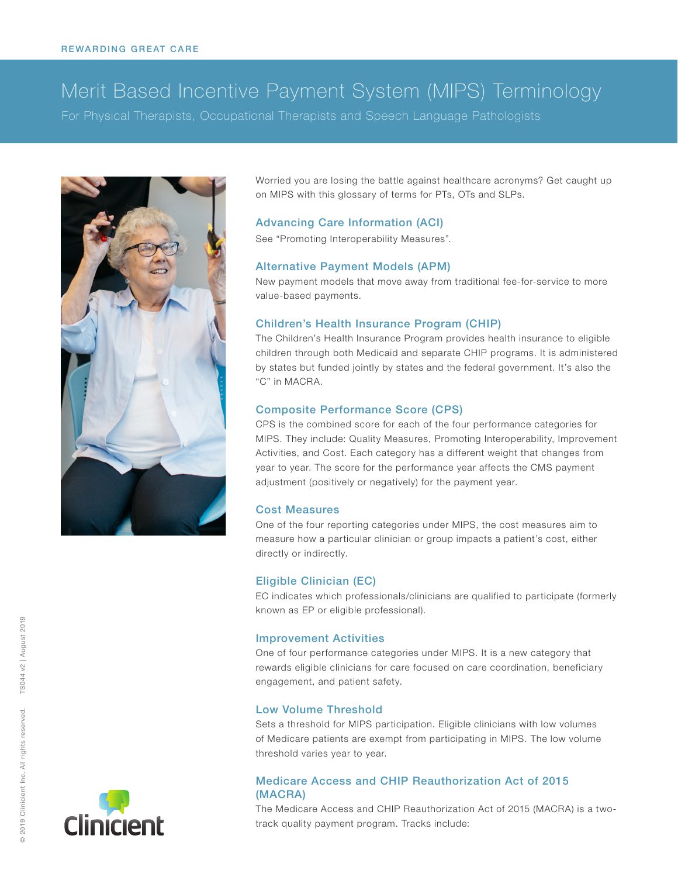# Merit Based Incentive Payment System (MIPS) Terminology

For Physical Therapists, Occupational Therapists and Speech Language Pathologists



Worried you are losing the battle against healthcare acronyms? Get caught up on MIPS with this glossary of terms for PTs, OTs and SLPs.

# Advancing Care Information (ACI)

See ["Promoting Interoperability Measures"](#page-1-0).

#### Alternative Payment Models (APM)

New payment models that move away from traditional fee-for-service to more value-based payments.

#### Children's Health Insurance Program (CHIP)

The Children's Health Insurance Program provides health insurance to eligible children through both Medicaid and separate CHIP programs. It is administered by states but funded jointly by states and the federal government. It's also the "C" in MACRA.

#### Composite Performance Score (CPS)

CPS is the combined score for each of the four performance categories for MIPS. They include: Quality Measures, Promoting Interoperability, Improvement Activities, and Cost. Each category has a different weight that changes from year to year. The score for the performance year affects the CMS payment adjustment (positively or negatively) for the payment year.

#### Cost Measures

One of the four reporting categories under MIPS, the cost measures aim to measure how a particular clinician or group impacts a patient's cost, either directly or indirectly.

#### Eligible Clinician (EC)

EC indicates which professionals/clinicians are qualified to participate (formerly known as EP or eligible professional).

#### Improvement Activities

One of four performance categories under MIPS. It is a new category that rewards eligible clinicians for care focused on care coordination, beneficiary engagement, and patient safety.

#### Low Volume Threshold

Sets a threshold for MIPS participation. Eligible clinicians with low volumes of Medicare patients are exempt from participating in MIPS. The low volume threshold varies year to year.

# Medicare Access and CHIP Reauthorization Act of 2015 (MACRA)

The Medicare Access and CHIP Reauthorization Act of 2015 (MACRA) is a twotrack quality payment program. Tracks include: